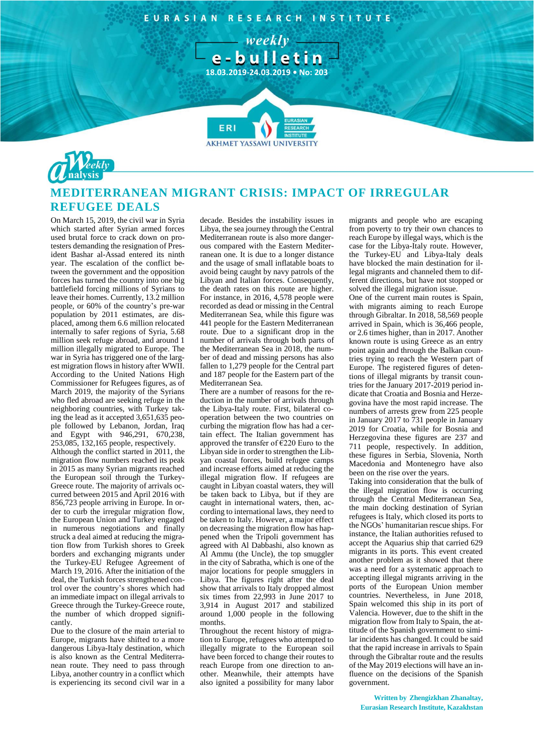EURASIAN RESEARCH INSTITUTE

weekly



**AKHMET YASSAWI UNIVERSIT** 

**FRI** 



## **MEDITERRANEAN MIGRANT CRISIS: IMPACT OF IRREGULAR REFUGEE DEALS**

On March 15, 2019, the civil war in Syria which started after Syrian armed forces used brutal force to crack down on protesters demanding the resignation of President Bashar al-Assad entered its ninth year. The escalation of the conflict between the government and the opposition forces has turned the country into one big battlefield forcing millions of Syrians to leave their homes. Currently, 13.2 million people, or 60% of the country's pre-war population by 2011 estimates, are displaced, among them 6.6 million relocated internally to safer regions of Syria, 5.68 million seek refuge abroad, and around 1 million illegally migrated to Europe. The war in Syria has triggered one of the largest migration flows in history after WWII. According to the United Nations High Commissioner for Refugees figures, as of March 2019, the majority of the Syrians who fled abroad are seeking refuge in the neighboring countries, with Turkey taking the lead as it accepted 3,651,635 people followed by Lebanon, Jordan, Iraq and Egypt with 946,291, 670,238, 253,085, 132,165 people, respectively. Although the conflict started in 2011, the migration flow numbers reached its peak

in 2015 as many Syrian migrants reached the European soil through the Turkey-Greece route. The majority of arrivals occurred between 2015 and April 2016 with 856,723 people arriving in Europe. In order to curb the irregular migration flow, the European Union and Turkey engaged in numerous negotiations and finally struck a deal aimed at reducing the migration flow from Turkish shores to Greek borders and exchanging migrants under the Turkey-EU Refugee Agreement of March 19, 2016. After the initiation of the deal, the Turkish forces strengthened control over the country's shores which had an immediate impact on illegal arrivals to Greece through the Turkey-Greece route, the number of which dropped significantly.

Due to the closure of the main arterial to Europe, migrants have shifted to a more dangerous Libya-Italy destination, which is also known as the Central Mediterranean route. They need to pass through Libya, another country in a conflict which is experiencing its second civil war in a decade. Besides the instability issues in Libya, the sea journey through the Central Mediterranean route is also more dangerous compared with the Eastern Mediterranean one. It is due to a longer distance and the usage of small inflatable boats to avoid being caught by navy patrols of the Libyan and Italian forces. Consequently, the death rates on this route are higher. For instance, in 2016, 4,578 people were recorded as dead or missing in the Central Mediterranean Sea, while this figure was 441 people for the Eastern Mediterranean route. Due to a significant drop in the number of arrivals through both parts of the Mediterranean Sea in 2018, the number of dead and missing persons has also fallen to 1,279 people for the Central part and 187 people for the Eastern part of the Mediterranean Sea.

There are a number of reasons for the reduction in the number of arrivals through the Libya-Italy route. First, bilateral cooperation between the two countries on curbing the migration flow has had a certain effect. The Italian government has approved the transfer of  $\epsilon$ 220 Euro to the Libyan side in order to strengthen the Libyan coastal forces, build refugee camps and increase efforts aimed at reducing the illegal migration flow. If refugees are caught in Libyan coastal waters, they will be taken back to Libya, but if they are caught in international waters, then, according to international laws, they need to be taken to Italy. However, a major effect on decreasing the migration flow has happened when the Tripoli government has agreed with Al Dabbashi, also known as Al Ammu (the Uncle), the top smuggler in the city of Sabratha, which is one of the major locations for people smugglers in Libya. The figures right after the deal show that arrivals to Italy dropped almost six times from 22,993 in June 2017 to 3,914 in August 2017 and stabilized around 1,000 people in the following months.

Throughout the recent history of migration to Europe, refugees who attempted to illegally migrate to the European soil have been forced to change their routes to reach Europe from one direction to another. Meanwhile, their attempts have also ignited a possibility for many labor migrants and people who are escaping from poverty to try their own chances to reach Europe by illegal ways, which is the case for the Libya-Italy route. However, the Turkey-EU and Libya-Italy deals have blocked the main destination for illegal migrants and channeled them to different directions, but have not stopped or solved the illegal migration issue.

One of the current main routes is Spain, with migrants aiming to reach Europe through Gibraltar. In 2018, 58,569 people arrived in Spain, which is 36,466 people, or 2.6 times higher, than in 2017. Another known route is using Greece as an entry point again and through the Balkan countries trying to reach the Western part of Europe. The registered figures of detentions of illegal migrants by transit countries for the January 2017-2019 period indicate that Croatia and Bosnia and Herzegovina have the most rapid increase. The numbers of arrests grew from 225 people in January 2017 to 731 people in January 2019 for Croatia, while for Bosnia and Herzegovina these figures are 237 and 711 people, respectively. In addition, these figures in Serbia, Slovenia, North Macedonia and Montenegro have also been on the rise over the years.

Taking into consideration that the bulk of the illegal migration flow is occurring through the Central Mediterranean Sea, the main docking destination of Syrian refugees is Italy, which closed its ports to the NGOs' humanitarian rescue ships. For instance, the Italian authorities refused to accept the Aquarius ship that carried 629 migrants in its ports. This event created another problem as it showed that there was a need for a systematic approach to accepting illegal migrants arriving in the ports of the European Union member countries. Nevertheless, in June 2018, Spain welcomed this ship in its port of Valencia. However, due to the shift in the migration flow from Italy to Spain, the attitude of the Spanish government to similar incidents has changed. It could be said that the rapid increase in arrivals to Spain through the Gibraltar route and the results of the May 2019 elections will have an influence on the decisions of the Spanish government.

**Written by Zhengizkhan Zhanaltay, Eurasian Research Institute, Kazakhstan**